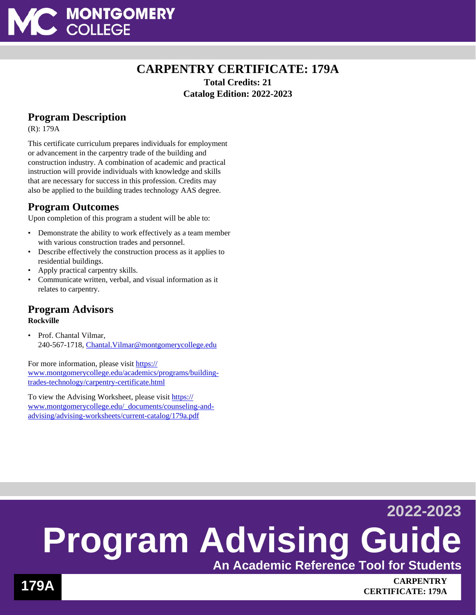

# **CARPENTRY CERTIFICATE: 179A Total Credits: 21 Catalog Edition: 2022-2023**

# **Program Description**

(R): 179A

This certificate curriculum prepares individuals for employment or advancement in the carpentry trade of the building and construction industry. A combination of academic and practical instruction will provide individuals with knowledge and skills that are necessary for success in this profession. Credits may also be applied to the building trades technology AAS degree.

## **Program Outcomes**

Upon completion of this program a student will be able to:

- Demonstrate the ability to work effectively as a team member with various construction trades and personnel.
- Describe effectively the construction process as it applies to residential buildings.
- Apply practical carpentry skills.
- Communicate written, verbal, and visual information as it relates to carpentry.

#### **Program Advisors Rockville**

• Prof. Chantal Vilmar, 240-567-1718, [Chantal.Vilmar@montgomerycollege.edu](mailto:Chantal.Vilmar@montgomerycollege.edu)

For more information, please visit [https://](https://www.montgomerycollege.edu/academics/programs/building-trades-technology/carpentry-certificate.html) [www.montgomerycollege.edu/academics/programs/building](https://www.montgomerycollege.edu/academics/programs/building-trades-technology/carpentry-certificate.html)[trades-technology/carpentry-certificate.html](https://www.montgomerycollege.edu/academics/programs/building-trades-technology/carpentry-certificate.html)

To view the Advising Worksheet, please visit [https://](https://www.montgomerycollege.edu/_documents/counseling-and-advising/advising-worksheets/current-catalog/179a.pdf) [www.montgomerycollege.edu/\\_documents/counseling-and](https://www.montgomerycollege.edu/_documents/counseling-and-advising/advising-worksheets/current-catalog/179a.pdf)[advising/advising-worksheets/current-catalog/179a.pdf](https://www.montgomerycollege.edu/_documents/counseling-and-advising/advising-worksheets/current-catalog/179a.pdf)

# **2022-2023 Program Advising Guide An Academic Reference Tool for Students**

**179A CARPENTRY CERTIFICATE: 179A**

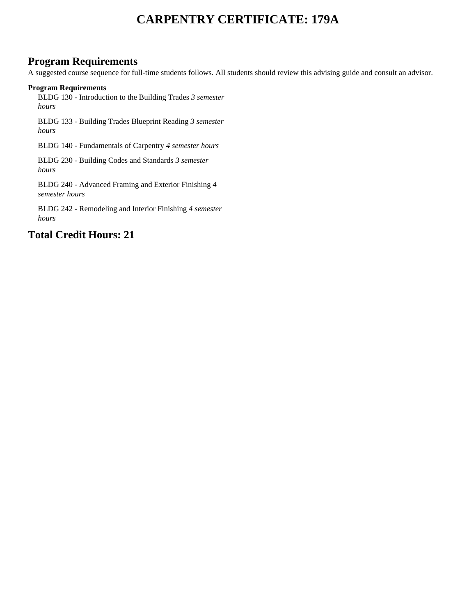# **CARPENTRY CERTIFICATE: 179A**

### **Program Requirements**

A suggested course sequence for full-time students follows. All students should review this advising guide and consult an advisor.

#### **Program Requirements**

BLDG 130 - Introduction to the Building Trades *3 semester hours*

BLDG 133 - Building Trades Blueprint Reading *3 semester hours*

BLDG 140 - Fundamentals of Carpentry *4 semester hours*

BLDG 230 - Building Codes and Standards *3 semester hours*

BLDG 240 - Advanced Framing and Exterior Finishing *4 semester hours*

BLDG 242 - Remodeling and Interior Finishing *4 semester hours*

## **Total Credit Hours: 21**